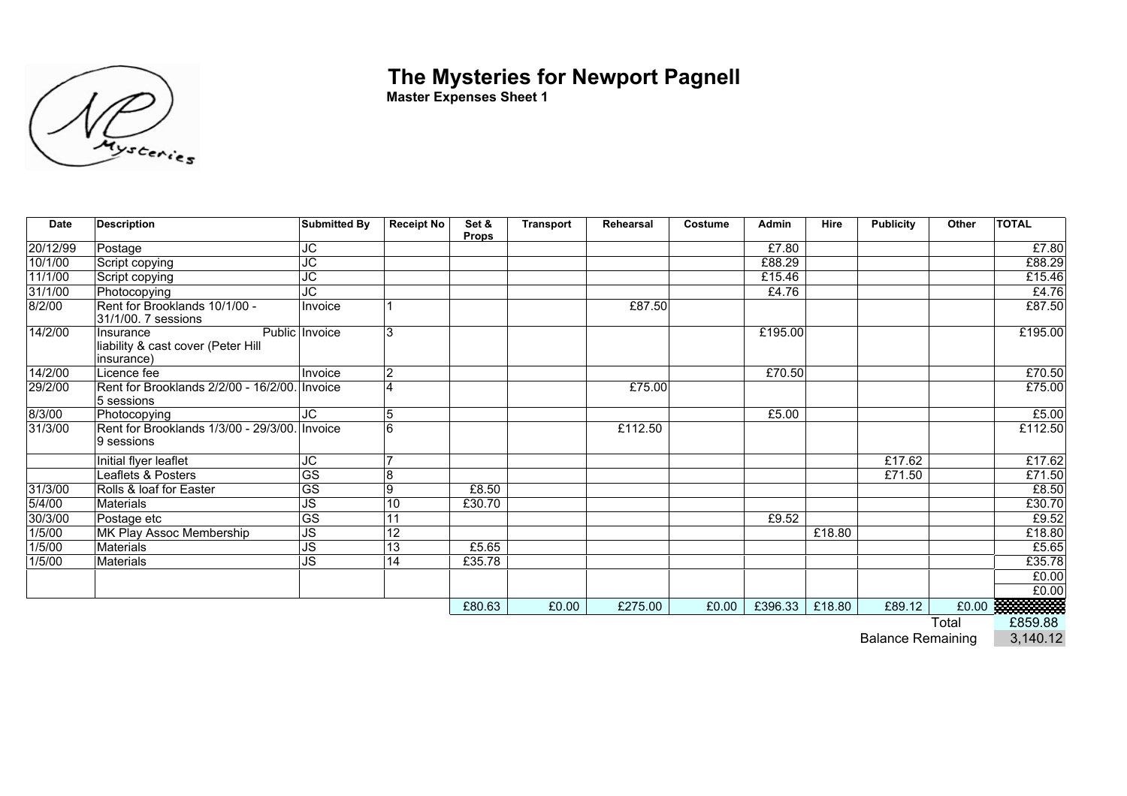## **The Mysteries for Newport Pagnell**



**Master Expenses Sheet 1**

| <b>Date</b> | <b>Description</b>                                             | <b>Submitted By</b>      | <b>Receipt No</b> | Set &<br><b>Props</b> | <b>Transport</b> | Rehearsal | Costume | Admin   | Hire   | <b>Publicity</b> | Other | <b>TOTAL</b>          |
|-------------|----------------------------------------------------------------|--------------------------|-------------------|-----------------------|------------------|-----------|---------|---------|--------|------------------|-------|-----------------------|
| 20/12/99    | Postage                                                        | JC                       |                   |                       |                  |           |         | £7.80   |        |                  |       | £7.80                 |
| 10/1/00     | Script copying                                                 | JC                       |                   |                       |                  |           |         | £88.29  |        |                  |       | £88.29                |
| 11/1/00     | Script copying                                                 | $\overline{\text{JC}}$   |                   |                       |                  |           |         | £15.46  |        |                  |       | £15.46                |
| 31/1/00     | Photocopying                                                   | JC                       |                   |                       |                  |           |         | £4.76   |        |                  |       | £4.76                 |
| 8/2/00      | Rent for Brooklands 10/1/00 -<br>31/1/00. 7 sessions           | Invoice                  |                   |                       |                  | £87.50    |         |         |        |                  |       | £87.50                |
| 14/2/00     | Insurance<br>liability & cast cover (Peter Hill<br>insurance)  | Public Invoice           | 3                 |                       |                  |           |         | £195.00 |        |                  |       | £195.00               |
| 14/2/00     | Licence fee                                                    | Invoice                  | $\overline{2}$    |                       |                  |           |         | £70.50  |        |                  |       | E70.50                |
| 29/2/00     | Rent for Brooklands 2/2/00 - 16/2/00. Invoice<br>5 sessions    |                          | $\overline{4}$    |                       |                  | £75.00    |         |         |        |                  |       | £75.00                |
| 8/3/00      | Photocopying                                                   | JC                       | 5                 |                       |                  |           |         | £5.00   |        |                  |       | £5.00                 |
| 31/3/00     | Rent for Brooklands 1/3/00 - 29/3/00. Invoice<br>$ 9$ sessions |                          | 6                 |                       |                  | £112.50   |         |         |        |                  |       | £112.50               |
|             | Initial flyer leaflet                                          | JС                       |                   |                       |                  |           |         |         |        | £17.62           |       | £17.62                |
|             | Leaflets & Posters                                             | $\overline{\text{GS}}$   | 8                 |                       |                  |           |         |         |        | £71.50           |       | £71.50                |
| 31/3/00     | Rolls & loaf for Easter                                        | $\overline{\text{GS}}$   | $\overline{9}$    | £8.50                 |                  |           |         |         |        |                  |       | £8.50                 |
| 5/4/00      | Materials                                                      | $\overline{\mathsf{JS}}$ | $\overline{10}$   | £30.70                |                  |           |         |         |        |                  |       | £30.70                |
| 30/3/00     | Postage etc                                                    | $\overline{\text{GS}}$   | 11                |                       |                  |           |         | £9.52   |        |                  |       | £9.52                 |
| 1/5/00      | MK Play Assoc Membership                                       | $\overline{\mathsf{JS}}$ | $\overline{12}$   |                       |                  |           |         |         | £18.80 |                  |       | £18.80                |
| 1/5/00      | Materials                                                      | <b>JS</b>                | $\overline{13}$   | £5.65                 |                  |           |         |         |        |                  |       | £5.65                 |
| 1/5/00      | Materials                                                      | JS                       | 14                | £35.78                |                  |           |         |         |        |                  |       | £35.78                |
|             |                                                                |                          |                   |                       |                  |           |         |         |        |                  |       | £0.00                 |
|             |                                                                |                          |                   |                       |                  |           |         |         |        |                  |       | £0.00                 |
|             |                                                                |                          |                   | £80.63                | £0.00            | £275.00   | £0.00   | £396.33 | £18.80 | £89.12           |       | £0.00 <b>RANGE 10</b> |

Total £859.88

**Balance Remaining**